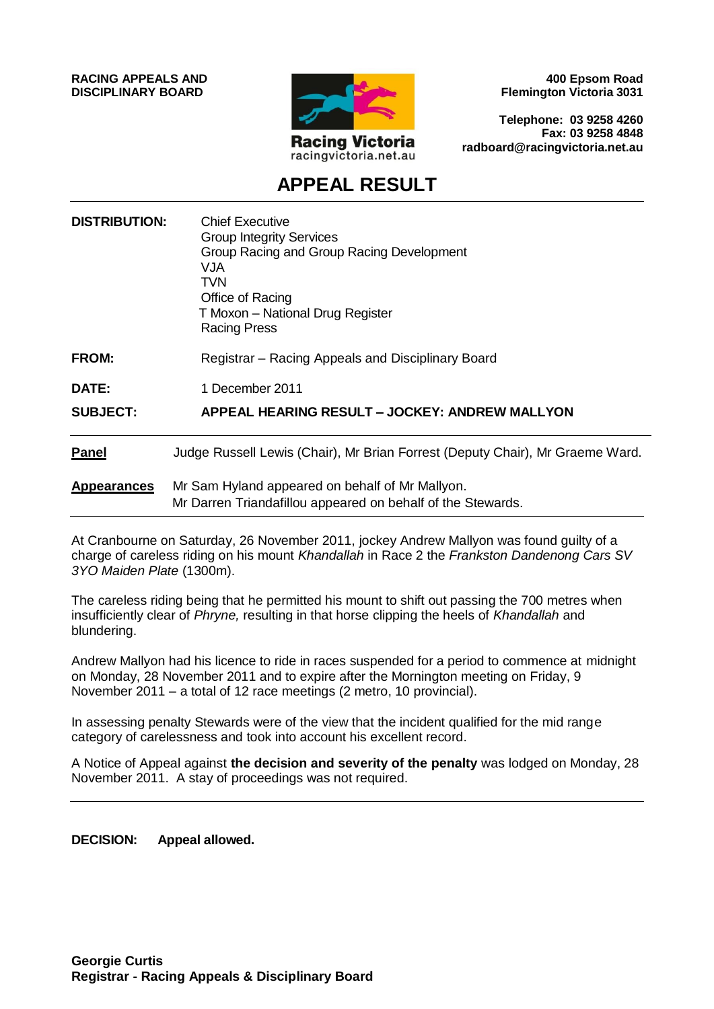**RACING APPEALS AND DISCIPLINARY BOARD**



**400 Epsom Road Flemington Victoria 3031**

**Telephone: 03 9258 4260 Fax: 03 9258 4848 radboard@racingvictoria.net.au**

## **APPEAL RESULT**

| <b>DISTRIBUTION:</b> | <b>Chief Executive</b><br><b>Group Integrity Services</b><br>Group Racing and Group Racing Development<br>VJA<br><b>TVN</b><br>Office of Racing<br>T Moxon - National Drug Register<br><b>Racing Press</b> |
|----------------------|------------------------------------------------------------------------------------------------------------------------------------------------------------------------------------------------------------|
| <b>FROM:</b>         | Registrar – Racing Appeals and Disciplinary Board                                                                                                                                                          |
| DATE:                | 1 December 2011                                                                                                                                                                                            |
| <b>SUBJECT:</b>      | <b>APPEAL HEARING RESULT – JOCKEY: ANDREW MALLYON</b>                                                                                                                                                      |
| <b>Panel</b>         | Judge Russell Lewis (Chair), Mr Brian Forrest (Deputy Chair), Mr Graeme Ward.                                                                                                                              |
| <b>Appearances</b>   | Mr Sam Hyland appeared on behalf of Mr Mallyon.<br>Mr Darren Triandafillou appeared on behalf of the Stewards.                                                                                             |

At Cranbourne on Saturday, 26 November 2011, jockey Andrew Mallyon was found guilty of a charge of careless riding on his mount *Khandallah* in Race 2 the *Frankston Dandenong Cars SV 3YO Maiden Plate* (1300m).

The careless riding being that he permitted his mount to shift out passing the 700 metres when insufficiently clear of *Phryne,* resulting in that horse clipping the heels of *Khandallah* and blundering.

Andrew Mallyon had his licence to ride in races suspended for a period to commence at midnight on Monday, 28 November 2011 and to expire after the Mornington meeting on Friday, 9 November 2011 – a total of 12 race meetings (2 metro, 10 provincial).

In assessing penalty Stewards were of the view that the incident qualified for the mid range category of carelessness and took into account his excellent record.

A Notice of Appeal against **the decision and severity of the penalty** was lodged on Monday, 28 November 2011. A stay of proceedings was not required.

**DECISION: Appeal allowed.**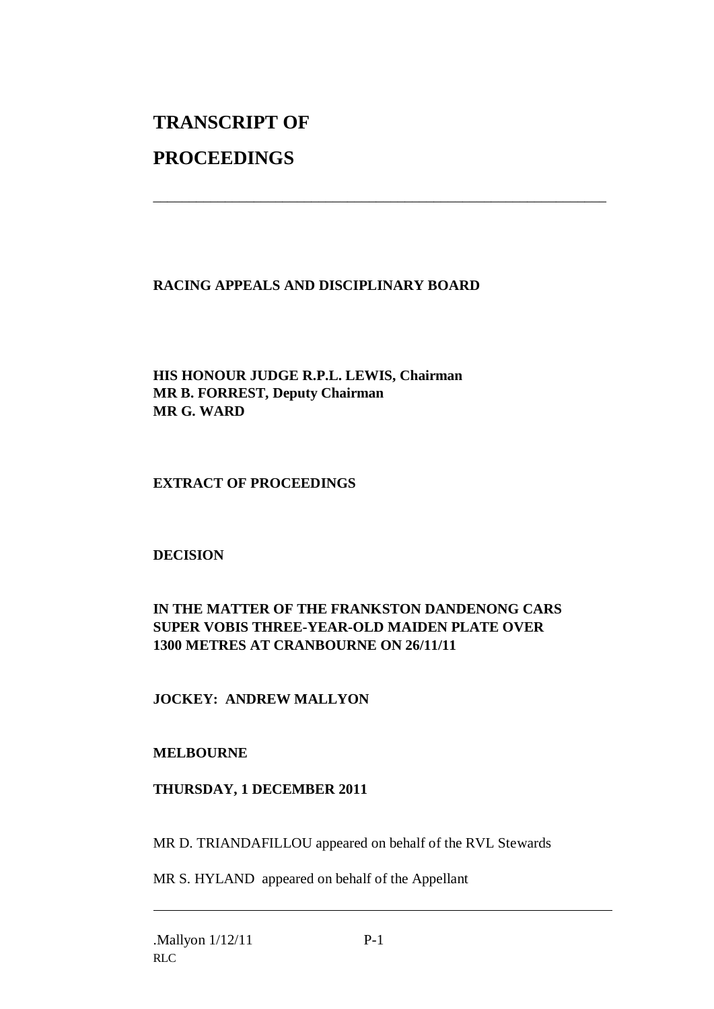# **TRANSCRIPT OF**

## **PROCEEDINGS**

### **RACING APPEALS AND DISCIPLINARY BOARD**

\_\_\_\_\_\_\_\_\_\_\_\_\_\_\_\_\_\_\_\_\_\_\_\_\_\_\_\_\_\_\_\_\_\_\_\_\_\_\_\_\_\_\_\_\_\_\_\_\_\_\_\_\_\_\_\_\_\_\_\_\_\_\_

**HIS HONOUR JUDGE R.P.L. LEWIS, Chairman MR B. FORREST, Deputy Chairman MR G. WARD**

#### **EXTRACT OF PROCEEDINGS**

#### **DECISION**

#### **IN THE MATTER OF THE FRANKSTON DANDENONG CARS SUPER VOBIS THREE-YEAR-OLD MAIDEN PLATE OVER 1300 METRES AT CRANBOURNE ON 26/11/11**

#### **JOCKEY: ANDREW MALLYON**

#### **MELBOURNE**

#### **THURSDAY, 1 DECEMBER 2011**

MR D. TRIANDAFILLOU appeared on behalf of the RVL Stewards

MR S. HYLAND appeared on behalf of the Appellant